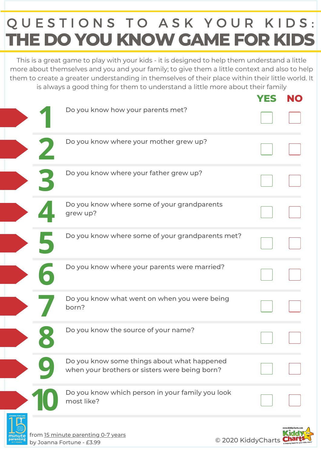## **THE DO YOU KNOWGAME FOR KIDS** QUESTIONS TO ASK YOUR KIDS:

This is a great game to play with your kids - it is designed to help them understand a little more about themselves and you and your family; to give them a little context and also to help them to create a greater understanding in themselves of their place within their little world. It is always a good thing for them to understand a little more about their family

|           |                                                                                               | YES                |  |
|-----------|-----------------------------------------------------------------------------------------------|--------------------|--|
|           | Do you know how your parents met?                                                             |                    |  |
|           | Do you know where your mother grew up?                                                        |                    |  |
|           | Do you know where your father grew up?                                                        |                    |  |
|           | Do you know where some of your grandparents<br>grew up?                                       |                    |  |
|           | Do you know where some of your grandparents met?                                              |                    |  |
|           | Do you know where your parents were married?                                                  |                    |  |
|           | Do you know what went on when you were being<br>born?                                         |                    |  |
|           | Do you know the source of your name?                                                          |                    |  |
|           | Do you know some things about what happened<br>when your brothers or sisters were being born? |                    |  |
|           | Do you know which person in your family you look<br>most like?                                |                    |  |
| parenting | from 15 minute parenting 0-7 years<br>$I$ canna Eortuno - £3.99                               | © 2020 KiddyCharts |  |